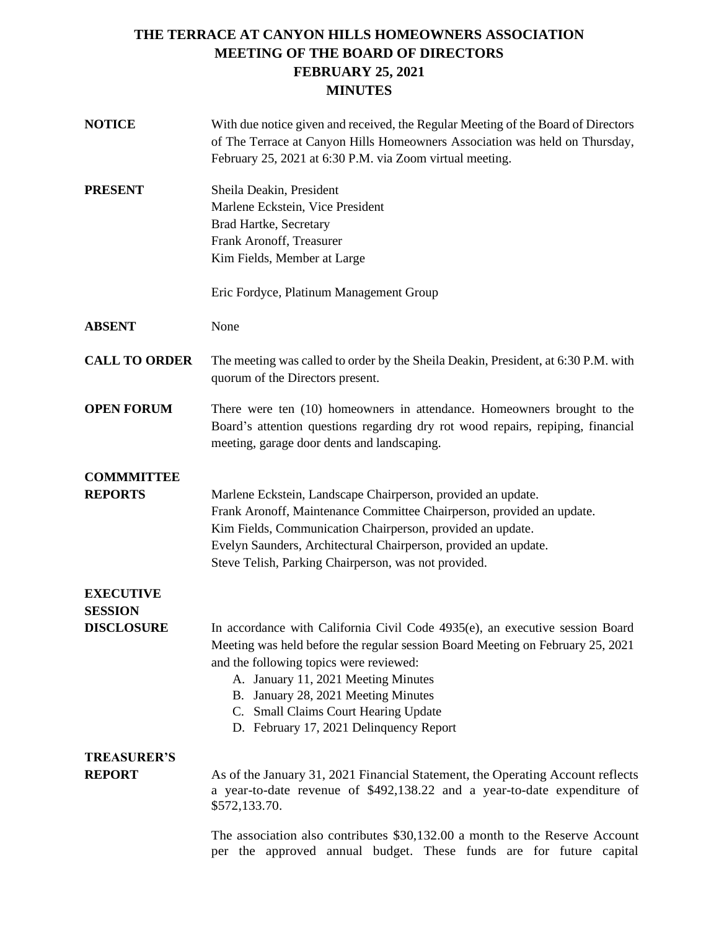# **THE TERRACE AT CANYON HILLS HOMEOWNERS ASSOCIATION MEETING OF THE BOARD OF DIRECTORS FEBRUARY 25, 2021 MINUTES**

| <b>NOTICE</b>                       | With due notice given and received, the Regular Meeting of the Board of Directors<br>of The Terrace at Canyon Hills Homeowners Association was held on Thursday,<br>February 25, 2021 at 6:30 P.M. via Zoom virtual meeting.                                                                                                                                               |
|-------------------------------------|----------------------------------------------------------------------------------------------------------------------------------------------------------------------------------------------------------------------------------------------------------------------------------------------------------------------------------------------------------------------------|
| <b>PRESENT</b>                      | Sheila Deakin, President<br>Marlene Eckstein, Vice President<br><b>Brad Hartke, Secretary</b><br>Frank Aronoff, Treasurer<br>Kim Fields, Member at Large                                                                                                                                                                                                                   |
|                                     | Eric Fordyce, Platinum Management Group                                                                                                                                                                                                                                                                                                                                    |
| <b>ABSENT</b>                       | None                                                                                                                                                                                                                                                                                                                                                                       |
| <b>CALL TO ORDER</b>                | The meeting was called to order by the Sheila Deakin, President, at 6:30 P.M. with<br>quorum of the Directors present.                                                                                                                                                                                                                                                     |
| <b>OPEN FORUM</b>                   | There were ten (10) homeowners in attendance. Homeowners brought to the<br>Board's attention questions regarding dry rot wood repairs, repiping, financial<br>meeting, garage door dents and landscaping.                                                                                                                                                                  |
| <b>COMMMITTEE</b><br><b>REPORTS</b> | Marlene Eckstein, Landscape Chairperson, provided an update.<br>Frank Aronoff, Maintenance Committee Chairperson, provided an update.<br>Kim Fields, Communication Chairperson, provided an update.<br>Evelyn Saunders, Architectural Chairperson, provided an update.<br>Steve Telish, Parking Chairperson, was not provided.                                             |
| <b>EXECUTIVE</b><br><b>SESSION</b>  |                                                                                                                                                                                                                                                                                                                                                                            |
| <b>DISCLOSURE</b>                   | In accordance with California Civil Code 4935(e), an executive session Board<br>Meeting was held before the regular session Board Meeting on February 25, 2021<br>and the following topics were reviewed:<br>A. January 11, 2021 Meeting Minutes<br>B. January 28, 2021 Meeting Minutes<br>C. Small Claims Court Hearing Update<br>D. February 17, 2021 Delinquency Report |
| <b>TREASURER'S</b>                  |                                                                                                                                                                                                                                                                                                                                                                            |
| <b>REPORT</b>                       | As of the January 31, 2021 Financial Statement, the Operating Account reflects<br>a year-to-date revenue of \$492,138.22 and a year-to-date expenditure of<br>\$572,133.70.                                                                                                                                                                                                |
|                                     | The association also contributes \$30,132.00 a month to the Reserve Account<br>per the approved annual budget. These funds are for future capital                                                                                                                                                                                                                          |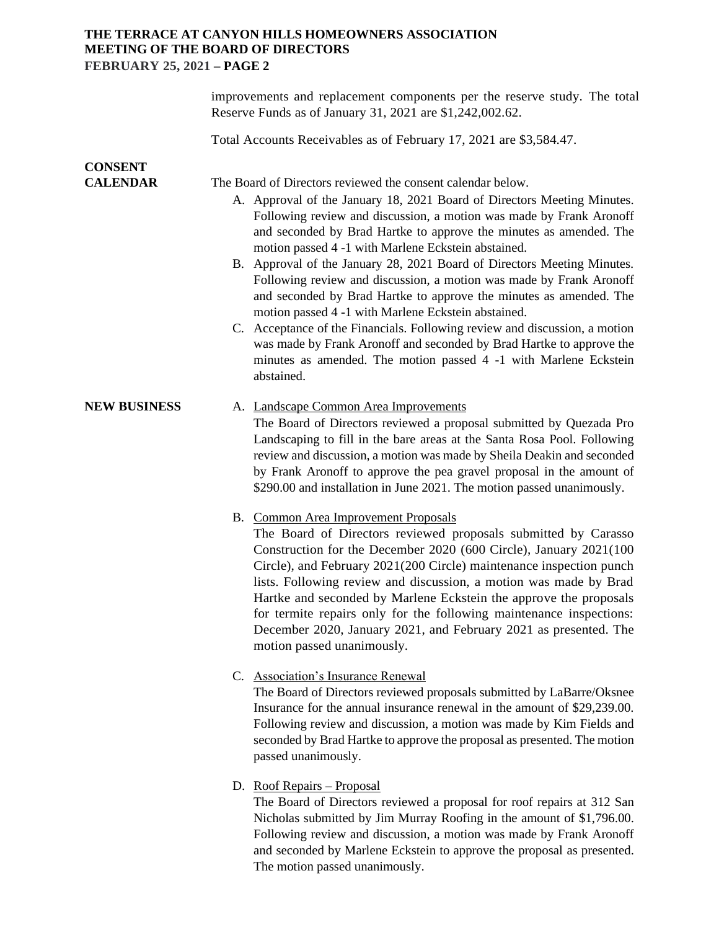# **THE TERRACE AT CANYON HILLS HOMEOWNERS ASSOCIATION MEETING OF THE BOARD OF DIRECTORS FEBRUARY 25, 2021 – PAGE 2**

|                                   | improvements and replacement components per the reserve study. The total<br>Reserve Funds as of January 31, 2021 are \$1,242,002.62.                                                                                                                                                                                                                                                                                                                                                                                                                                                                                                                                                                                                                                                                                                                              |
|-----------------------------------|-------------------------------------------------------------------------------------------------------------------------------------------------------------------------------------------------------------------------------------------------------------------------------------------------------------------------------------------------------------------------------------------------------------------------------------------------------------------------------------------------------------------------------------------------------------------------------------------------------------------------------------------------------------------------------------------------------------------------------------------------------------------------------------------------------------------------------------------------------------------|
|                                   | Total Accounts Receivables as of February 17, 2021 are \$3,584.47.                                                                                                                                                                                                                                                                                                                                                                                                                                                                                                                                                                                                                                                                                                                                                                                                |
| <b>CONSENT</b><br><b>CALENDAR</b> | The Board of Directors reviewed the consent calendar below.<br>A. Approval of the January 18, 2021 Board of Directors Meeting Minutes.<br>Following review and discussion, a motion was made by Frank Aronoff<br>and seconded by Brad Hartke to approve the minutes as amended. The<br>motion passed 4 -1 with Marlene Eckstein abstained.<br>B. Approval of the January 28, 2021 Board of Directors Meeting Minutes.<br>Following review and discussion, a motion was made by Frank Aronoff<br>and seconded by Brad Hartke to approve the minutes as amended. The<br>motion passed 4 -1 with Marlene Eckstein abstained.<br>C. Acceptance of the Financials. Following review and discussion, a motion<br>was made by Frank Aronoff and seconded by Brad Hartke to approve the<br>minutes as amended. The motion passed 4 -1 with Marlene Eckstein<br>abstained. |
| <b>NEW BUSINESS</b>               | A. Landscape Common Area Improvements<br>The Board of Directors reviewed a proposal submitted by Quezada Pro<br>Landscaping to fill in the bare areas at the Santa Rosa Pool. Following<br>review and discussion, a motion was made by Sheila Deakin and seconded<br>by Frank Aronoff to approve the pea gravel proposal in the amount of<br>\$290.00 and installation in June 2021. The motion passed unanimously.                                                                                                                                                                                                                                                                                                                                                                                                                                               |
|                                   | B. Common Area Improvement Proposals<br>The Board of Directors reviewed proposals submitted by Carasso<br>Construction for the December 2020 (600 Circle), January 2021(100<br>Circle), and February 2021(200 Circle) maintenance inspection punch<br>lists. Following review and discussion, a motion was made by Brad<br>Hartke and seconded by Marlene Eckstein the approve the proposals<br>for termite repairs only for the following maintenance inspections:<br>December 2020, January 2021, and February 2021 as presented. The<br>motion passed unanimously.                                                                                                                                                                                                                                                                                             |
|                                   | C. Association's Insurance Renewal<br>The Board of Directors reviewed proposals submitted by LaBarre/Oksnee<br>Insurance for the annual insurance renewal in the amount of \$29,239.00.<br>Following review and discussion, a motion was made by Kim Fields and<br>seconded by Brad Hartke to approve the proposal as presented. The motion<br>passed unanimously.                                                                                                                                                                                                                                                                                                                                                                                                                                                                                                |

D. Roof Repairs – Proposal

The Board of Directors reviewed a proposal for roof repairs at 312 San Nicholas submitted by Jim Murray Roofing in the amount of \$1,796.00. Following review and discussion, a motion was made by Frank Aronoff and seconded by Marlene Eckstein to approve the proposal as presented. The motion passed unanimously.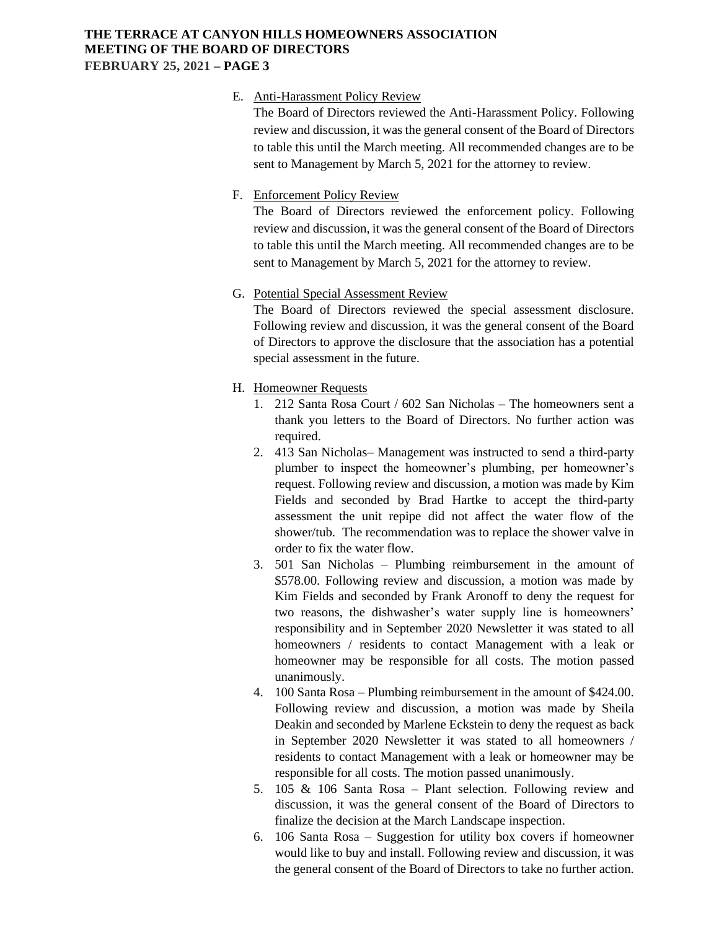## **THE TERRACE AT CANYON HILLS HOMEOWNERS ASSOCIATION MEETING OF THE BOARD OF DIRECTORS FEBRUARY 25, 2021 – PAGE 3**

#### E. Anti-Harassment Policy Review

The Board of Directors reviewed the Anti-Harassment Policy. Following review and discussion, it was the general consent of the Board of Directors to table this until the March meeting. All recommended changes are to be sent to Management by March 5, 2021 for the attorney to review.

#### F. Enforcement Policy Review

The Board of Directors reviewed the enforcement policy. Following review and discussion, it was the general consent of the Board of Directors to table this until the March meeting. All recommended changes are to be sent to Management by March 5, 2021 for the attorney to review.

### G. Potential Special Assessment Review

The Board of Directors reviewed the special assessment disclosure. Following review and discussion, it was the general consent of the Board of Directors to approve the disclosure that the association has a potential special assessment in the future.

## H. Homeowner Requests

- 1. 212 Santa Rosa Court / 602 San Nicholas The homeowners sent a thank you letters to the Board of Directors. No further action was required.
- 2. 413 San Nicholas– Management was instructed to send a third-party plumber to inspect the homeowner's plumbing, per homeowner's request. Following review and discussion, a motion was made by Kim Fields and seconded by Brad Hartke to accept the third-party assessment the unit repipe did not affect the water flow of the shower/tub. The recommendation was to replace the shower valve in order to fix the water flow.
- 3. 501 San Nicholas Plumbing reimbursement in the amount of \$578.00. Following review and discussion, a motion was made by Kim Fields and seconded by Frank Aronoff to deny the request for two reasons, the dishwasher's water supply line is homeowners' responsibility and in September 2020 Newsletter it was stated to all homeowners / residents to contact Management with a leak or homeowner may be responsible for all costs. The motion passed unanimously.
- 4. 100 Santa Rosa Plumbing reimbursement in the amount of \$424.00. Following review and discussion, a motion was made by Sheila Deakin and seconded by Marlene Eckstein to deny the request as back in September 2020 Newsletter it was stated to all homeowners / residents to contact Management with a leak or homeowner may be responsible for all costs. The motion passed unanimously.
- 5. 105 & 106 Santa Rosa Plant selection. Following review and discussion, it was the general consent of the Board of Directors to finalize the decision at the March Landscape inspection.
- 6. 106 Santa Rosa Suggestion for utility box covers if homeowner would like to buy and install. Following review and discussion, it was the general consent of the Board of Directors to take no further action.